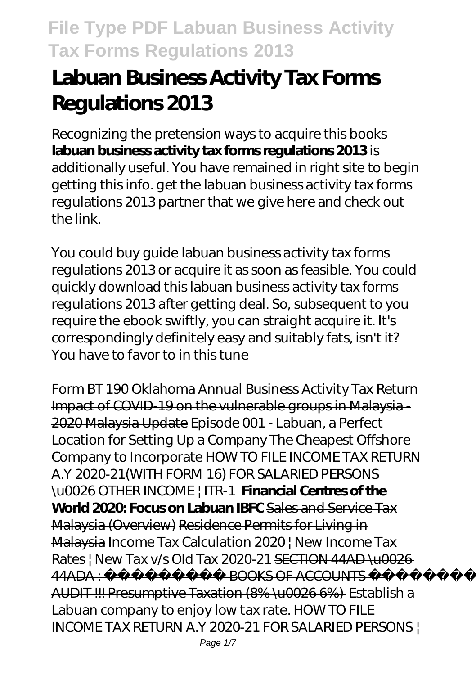# **Labuan Business Activity Tax Forms Regulations 2013**

Recognizing the pretension ways to acquire this books **labuan business activity tax forms regulations 2013** is additionally useful. You have remained in right site to begin getting this info. get the labuan business activity tax forms regulations 2013 partner that we give here and check out the link.

You could buy guide labuan business activity tax forms regulations 2013 or acquire it as soon as feasible. You could quickly download this labuan business activity tax forms regulations 2013 after getting deal. So, subsequent to you require the ebook swiftly, you can straight acquire it. It's correspondingly definitely easy and suitably fats, isn't it? You have to favor to in this tune

*Form BT 190 Oklahoma Annual Business Activity Tax Return* Impact of COVID-19 on the vulnerable groups in Malaysia - 2020 Malaysia Update *Episode 001 - Labuan, a Perfect Location for Setting Up a Company* The Cheapest Offshore Company to Incorporate *HOW TO FILE INCOME TAX RETURN A.Y 2020-21(WITH FORM 16) FOR SALARIED PERSONS \u0026 OTHER INCOME | ITR-1* **Financial Centres of the World 2020: Focus on Labuan IBFC** Sales and Service Tax Malaysia (Overview) Residence Permits for Living in Malaysia *Income Tax Calculation 2020 | New Income Tax Rates | New Tax v/s Old Tax 2020-21* SECTION 44AD \u0026 44ADA : ROOKS OF ACCOUNTS AUDIT !!! Presumptive Taxation (8% \u0026 6%) *Establish a Labuan company to enjoy low tax rate.* HOW TO FILE INCOME TAX RETURN A.Y 2020-21 FOR SALARIED PERSONS |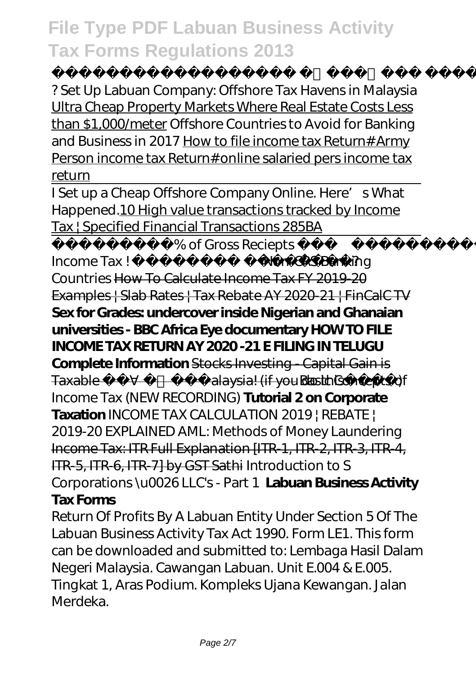? *Set Up Labuan Company: Offshore Tax Havens in Malaysia* Ultra Cheap Property Markets Where Real Estate Costs Less than \$1,000/meter Offshore Countries to Avoid for Banking and Business in 2017 How to file income tax Return# Army Person income tax Return# online salaried pers income tax return

I Set up a Cheap Offshore Company Online. Here's What Happened.10 High value transactions tracked by Income Tax | Specified Financial Transactions 285BA

8% of Gross Reciepts Income Tax ! जानिए कैसे?*Non-CRS Banking Countries* How To Calculate Income Tax FY 2019-20 Examples | Slab Rates | Tax Rebate AY 2020-21 | FinCalC TV **Sex for Grades: undercover inside Nigerian and Ghanaian universities - BBC Africa Eye documentary HOW TO FILE INCOME TAX RETURN AY 2020 -21 E FILING IN TELUGU Complete Information** Stocks Investing - Capital Gain is Taxable in Malaysia! (if you do this Basic Concepts of Income Tax (NEW RECORDING) **Tutorial 2 on Corporate Taxation INCOME TAX CALCULATION 2019 | REBATE |** 2019-20 EXPLAINED AML: Methods of Money Laundering Income Tax: ITR Full Explanation [ITR-1, ITR-2, ITR-3, ITR-4, ITR-5, ITR-6, ITR-7] by GST Sathi Introduction to S Corporations \u0026 LLC's - Part 1 **Labuan Business Activity Tax Forms**

Return Of Profits By A Labuan Entity Under Section 5 Of The Labuan Business Activity Tax Act 1990. Form LE1. This form can be downloaded and submitted to: Lembaga Hasil Dalam Negeri Malaysia. Cawangan Labuan. Unit E.004 & E.005. Tingkat 1, Aras Podium. Kompleks Ujana Kewangan. Jalan Merdeka.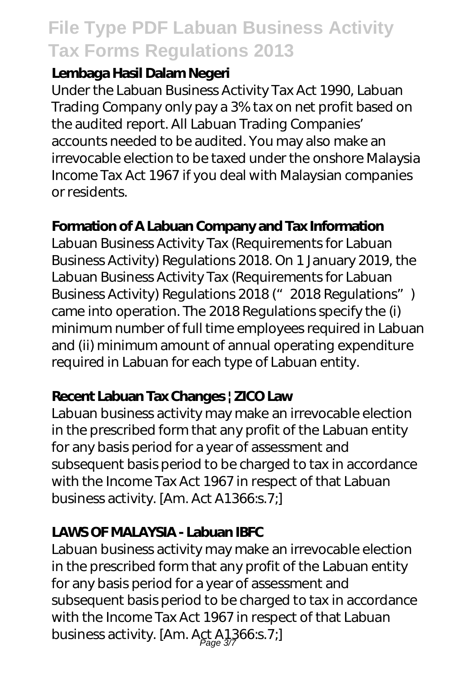#### **Lembaga Hasil Dalam Negeri**

Under the Labuan Business Activity Tax Act 1990, Labuan Trading Company only pay a 3% tax on net profit based on the audited report. All Labuan Trading Companies' accounts needed to be audited. You may also make an irrevocable election to be taxed under the onshore Malaysia Income Tax Act 1967 if you deal with Malaysian companies or residents.

#### **Formation of A Labuan Company and Tax Information**

Labuan Business Activity Tax (Requirements for Labuan Business Activity) Regulations 2018. On 1 January 2019, the Labuan Business Activity Tax (Requirements for Labuan Business Activity) Regulations 2018 (" 2018 Regulations") came into operation. The 2018 Regulations specify the (i) minimum number of full time employees required in Labuan and (ii) minimum amount of annual operating expenditure required in Labuan for each type of Labuan entity.

### **Recent Labuan Tax Changes | ZICO Law**

Labuan business activity may make an irrevocable election in the prescribed form that any profit of the Labuan entity for any basis period for a year of assessment and subsequent basis period to be charged to tax in accordance with the Income Tax Act 1967 in respect of that Labuan business activity. [Am. Act A1366:s.7;]

### **LAWS OF MALAYSIA - Labuan IBFC**

Labuan business activity may make an irrevocable election in the prescribed form that any profit of the Labuan entity for any basis period for a year of assessment and subsequent basis period to be charged to tax in accordance with the Income Tax Act 1967 in respect of that Labuan business activity. [Am. Act A1366:s.7;]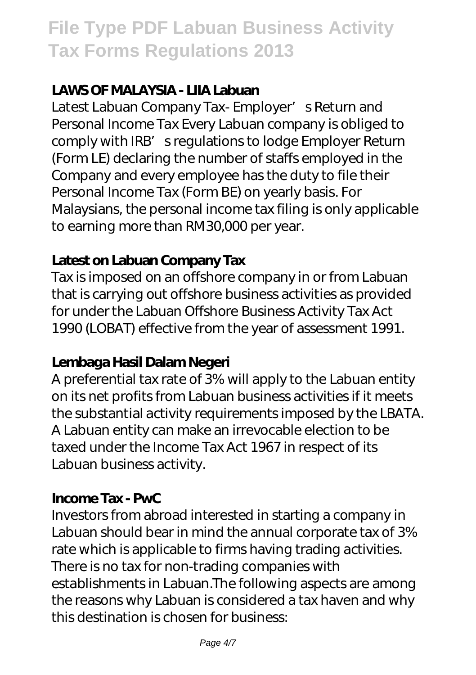#### **LAWS OF MALAYSIA - LIIA Labuan**

Latest Labuan Company Tax- Employer' s Return and Personal Income Tax Every Labuan company is obliged to comply with IRB' sregulations to lodge Employer Return (Form LE) declaring the number of staffs employed in the Company and every employee has the duty to file their Personal Income Tax (Form BE) on yearly basis. For Malaysians, the personal income tax filing is only applicable to earning more than RM30,000 per year.

#### **Latest on Labuan Company Tax**

Tax is imposed on an offshore company in or from Labuan that is carrying out offshore business activities as provided for under the Labuan Offshore Business Activity Tax Act 1990 (LOBAT) effective from the year of assessment 1991.

#### **Lembaga Hasil Dalam Negeri**

A preferential tax rate of 3% will apply to the Labuan entity on its net profits from Labuan business activities if it meets the substantial activity requirements imposed by the LBATA. A Labuan entity can make an irrevocable election to be taxed under the Income Tax Act 1967 in respect of its Labuan business activity.

#### **Income Tax - PwC**

Investors from abroad interested in starting a company in Labuan should bear in mind the annual corporate tax of 3% rate which is applicable to firms having trading activities. There is no tax for non-trading companies with establishments in Labuan.The following aspects are among the reasons why Labuan is considered a tax haven and why this destination is chosen for business: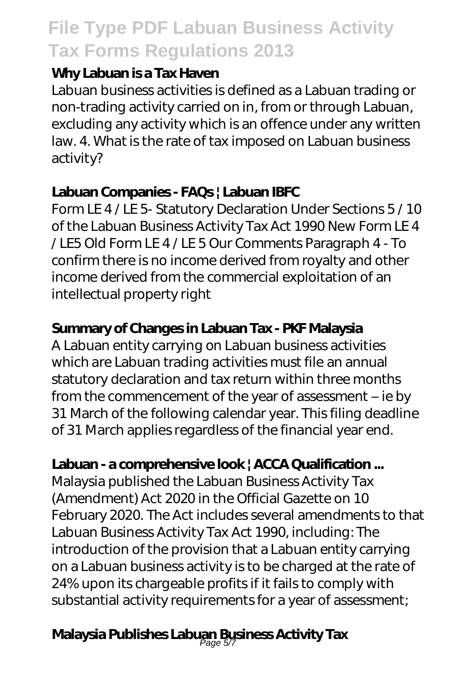#### **Why Labuan is a Tax Haven**

Labuan business activities is defined as a Labuan trading or non-trading activity carried on in, from or through Labuan, excluding any activity which is an offence under any written law. 4. What is the rate of tax imposed on Labuan business activity?

### **Labuan Companies - FAQs | Labuan IBFC**

Form LE 4 / LE 5- Statutory Declaration Under Sections 5 / 10 of the Labuan Business Activity Tax Act 1990 New Form LE 4 / LE5 Old Form LE 4 / LE 5 Our Comments Paragraph 4 - To confirm there is no income derived from royalty and other income derived from the commercial exploitation of an intellectual property right

### **Summary of Changes in Labuan Tax - PKF Malaysia**

A Labuan entity carrying on Labuan business activities which are Labuan trading activities must file an annual statutory declaration and tax return within three months from the commencement of the year of assessment – ie by 31 March of the following calendar year. This filing deadline of 31 March applies regardless of the financial year end.

### **Labuan - a comprehensive look | ACCA Qualification ...**

Malaysia published the Labuan Business Activity Tax (Amendment) Act 2020 in the Official Gazette on 10 February 2020. The Act includes several amendments to that Labuan Business Activity Tax Act 1990, including: The introduction of the provision that a Labuan entity carrying on a Labuan business activity is to be charged at the rate of 24% upon its chargeable profits if it fails to comply with substantial activity requirements for a year of assessment;

## **Malaysia Publishes Labuan Business Activity Tax** Page 5/7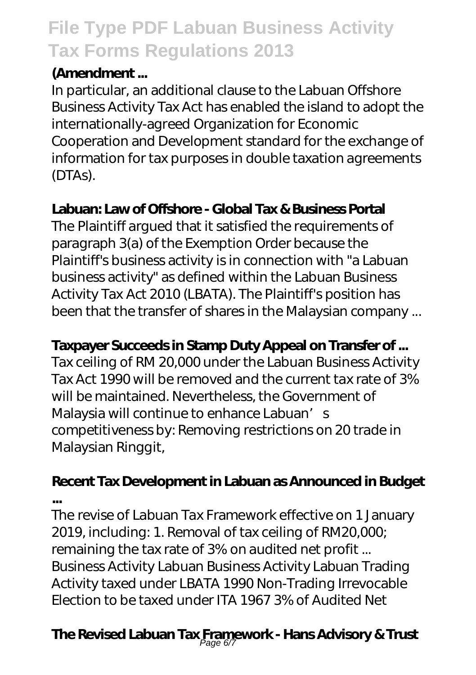### **(Amendment ...**

In particular, an additional clause to the Labuan Offshore Business Activity Tax Act has enabled the island to adopt the internationally-agreed Organization for Economic Cooperation and Development standard for the exchange of information for tax purposes in double taxation agreements (DTAs).

### **Labuan: Law of Offshore - Global Tax & Business Portal**

The Plaintiff argued that it satisfied the requirements of paragraph 3(a) of the Exemption Order because the Plaintiff's business activity is in connection with "a Labuan business activity" as defined within the Labuan Business Activity Tax Act 2010 (LBATA). The Plaintiff's position has been that the transfer of shares in the Malaysian company ...

### **Taxpayer Succeeds in Stamp Duty Appeal on Transfer of ...**

Tax ceiling of RM 20,000 under the Labuan Business Activity Tax Act 1990 will be removed and the current tax rate of 3% will be maintained. Nevertheless, the Government of Malaysia will continue to enhance Labuan's competitiveness by: Removing restrictions on 20 trade in Malaysian Ringgit,

### **Recent Tax Development in Labuan as Announced in Budget ...**

The revise of Labuan Tax Framework effective on 1 January 2019, including: 1. Removal of tax ceiling of RM20,000; remaining the tax rate of 3% on audited net profit ... Business Activity Labuan Business Activity Labuan Trading Activity taxed under LBATA 1990 Non-Trading Irrevocable Election to be taxed under ITA 1967 3% of Audited Net

## **The Revised Labuan Tax Framework - Hans Advisory & Trust** Page 6/7